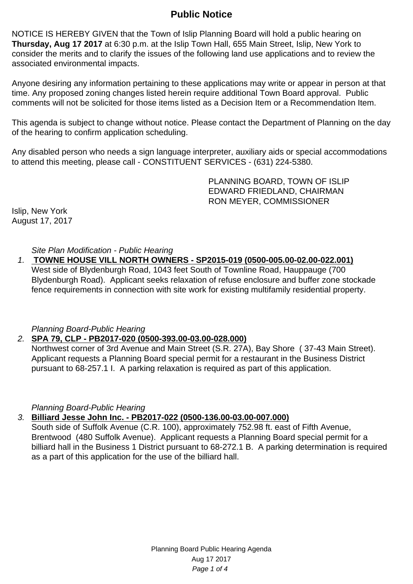# **Public Notice**

NOTICE IS HEREBY GIVEN that the Town of Islip Planning Board will hold a public hearing on **Thursday, Aug 17 2017** at 6:30 p.m. at the Islip Town Hall, 655 Main Street, Islip, New York to consider the merits and to clarify the issues of the following land use applications and to review the associated environmental impacts.

Anyone desiring any information pertaining to these applications may write or appear in person at that time. Any proposed zoning changes listed herein require additional Town Board approval. Public comments will not be solicited for those items listed as a Decision Item or a Recommendation Item.

This agenda is subject to change without notice. Please contact the Department of Planning on the day of the hearing to confirm application scheduling.

Any disabled person who needs a sign language interpreter, auxiliary aids or special accommodations to attend this meeting, please call - CONSTITUENT SERVICES - (631) 224-5380.

> PLANNING BOARD, TOWN OF ISLIP EDWARD FRIEDLAND, CHAIRMAN RON MEYER, COMMISSIONER

Islip, New York August 17, 2017

Site Plan Modification - Public Hearing

1. **TOWNE HOUSE VILL NORTH OWNERS - SP2015-019 (0500-005.00-02.00-022.001)** West side of Blydenburgh Road, 1043 feet South of Townline Road, Hauppauge (700 Blydenburgh Road). Applicant seeks relaxation of refuse enclosure and buffer zone stockade fence requirements in connection with site work for existing multifamily residential property.

Planning Board-Public Hearing

## 2. **SPA 79, CLP - PB2017-020 (0500-393.00-03.00-028.000)**

Northwest corner of 3rd Avenue and Main Street (S.R. 27A), Bay Shore ( 37-43 Main Street). Applicant requests a Planning Board special permit for a restaurant in the Business District pursuant to 68-257.1 I. A parking relaxation is required as part of this application.

Planning Board-Public Hearing

## 3. **Billiard Jesse John Inc. - PB2017-022 (0500-136.00-03.00-007.000)**

South side of Suffolk Avenue (C.R. 100), approximately 752.98 ft. east of Fifth Avenue, Brentwood (480 Suffolk Avenue). Applicant requests a Planning Board special permit for a billiard hall in the Business 1 District pursuant to 68-272.1 B. A parking determination is required as a part of this application for the use of the billiard hall.

> Planning Board Public Hearing Agenda Aug 17 2017 Page 1 of 4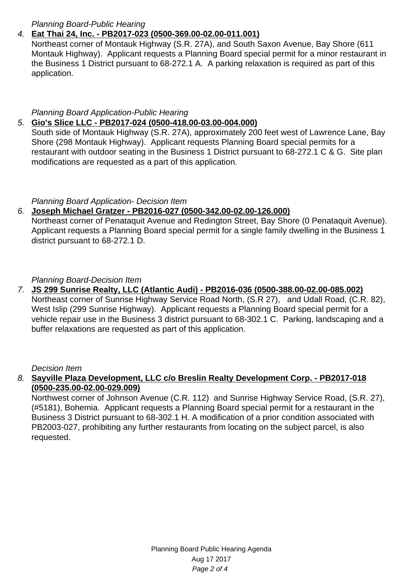# Planning Board-Public Hearing

# 4. **Eat Thai 24, Inc. - PB2017-023 (0500-369.00-02.00-011.001)**

Northeast corner of Montauk Highway (S.R. 27A), and South Saxon Avenue, Bay Shore (611 Montauk Highway). Applicant requests a Planning Board special permit for a minor restaurant in the Business 1 District pursuant to 68-272.1 A. A parking relaxation is required as part of this application.

# Planning Board Application-Public Hearing

# 5. **Gio's Slice LLC - PB2017-024 (0500-418.00-03.00-004.000)**

South side of Montauk Highway (S.R. 27A), approximately 200 feet west of Lawrence Lane, Bay Shore (298 Montauk Highway). Applicant requests Planning Board special permits for a restaurant with outdoor seating in the Business 1 District pursuant to 68-272.1 C & G. Site plan modifications are requested as a part of this application.

## Planning Board Application- Decision Item

# 6. **Joseph Michael Gratzer - PB2016-027 (0500-342.00-02.00-126.000)**

Northeast corner of Penataquit Avenue and Redington Street, Bay Shore (0 Penataquit Avenue). Applicant requests a Planning Board special permit for a single family dwelling in the Business 1 district pursuant to 68-272.1 D.

# Planning Board-Decision Item

7. **JS 299 Sunrise Realty, LLC (Atlantic Audi) - PB2016-036 (0500-388.00-02.00-085.002)** Northeast corner of Sunrise Highway Service Road North, (S.R 27), and Udall Road, (C.R. 82), West Islip (299 Sunrise Highway). Applicant requests a Planning Board special permit for a vehicle repair use in the Business 3 district pursuant to 68-302.1 C. Parking, landscaping and a buffer relaxations are requested as part of this application.

#### Decision Item

## 8. **Sayville Plaza Development, LLC c/o Breslin Realty Development Corp. - PB2017-018 (0500-235.00-02.00-029.009)**

Northwest corner of Johnson Avenue (C.R. 112) and Sunrise Highway Service Road, (S.R. 27), (#5181), Bohemia. Applicant requests a Planning Board special permit for a restaurant in the Business 3 District pursuant to 68-302.1 H. A modification of a prior condition associated with PB2003-027, prohibiting any further restaurants from locating on the subject parcel, is also requested.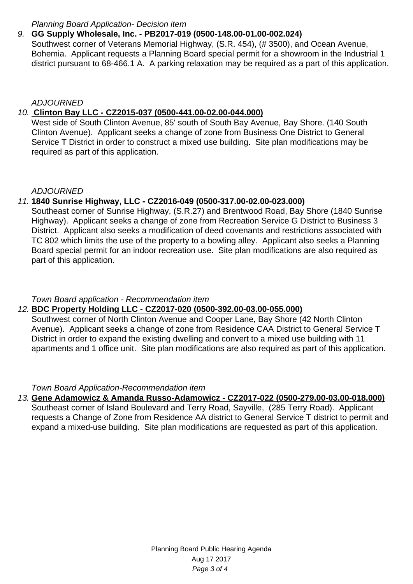Planning Board Application- Decision item

# 9. **GG Supply Wholesale, Inc. - PB2017-019 (0500-148.00-01.00-002.024)**

Southwest corner of Veterans Memorial Highway, (S.R. 454), (# 3500), and Ocean Avenue, Bohemia. Applicant requests a Planning Board special permit for a showroom in the Industrial 1 district pursuant to 68-466.1 A. A parking relaxation may be required as a part of this application.

### ADJOURNED

# 10. **Clinton Bay LLC - CZ2015-037 (0500-441.00-02.00-044.000)**

West side of South Clinton Avenue, 85' south of South Bay Avenue, Bay Shore. (140 South Clinton Avenue). Applicant seeks a change of zone from Business One District to General Service T District in order to construct a mixed use building. Site plan modifications may be required as part of this application.

## ADJOURNED

## 11. **1840 Sunrise Highway, LLC - CZ2016-049 (0500-317.00-02.00-023.000)**

Southeast corner of Sunrise Highway, (S.R.27) and Brentwood Road, Bay Shore (1840 Sunrise Highway). Applicant seeks a change of zone from Recreation Service G District to Business 3 District. Applicant also seeks a modification of deed covenants and restrictions associated with TC 802 which limits the use of the property to a bowling alley. Applicant also seeks a Planning Board special permit for an indoor recreation use. Site plan modifications are also required as part of this application.

Town Board application - Recommendation item

## 12. **BDC Property Holding LLC - CZ2017-020 (0500-392.00-03.00-055.000)**

Southwest corner of North Clinton Avenue and Cooper Lane, Bay Shore (42 North Clinton Avenue). Applicant seeks a change of zone from Residence CAA District to General Service T District in order to expand the existing dwelling and convert to a mixed use building with 11 apartments and 1 office unit. Site plan modifications are also required as part of this application.

#### Town Board Application-Recommendation item

13. **Gene Adamowicz & Amanda Russo-Adamowicz - CZ2017-022 (0500-279.00-03.00-018.000)** Southeast corner of Island Boulevard and Terry Road, Sayville, (285 Terry Road). Applicant requests a Change of Zone from Residence AA district to General Service T district to permit and expand a mixed-use building. Site plan modifications are requested as part of this application.

> Planning Board Public Hearing Agenda Aug 17 2017 Page 3 of 4